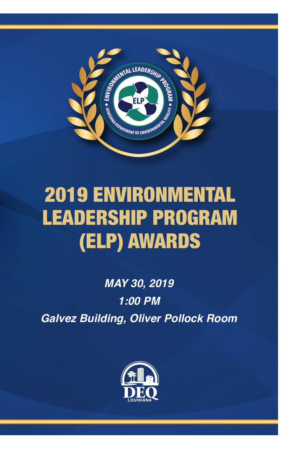

# 2019 ENVIRONMENTAL LEADERSHIP PROGRAM (ELP) AWARDS

*MAY 30, 2019 1:00 PM Galvez Building, Oliver Pollock Room*

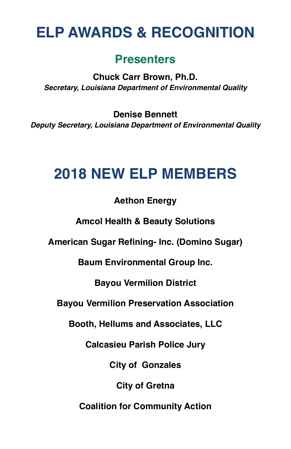# **ELP AWARDS & RECOGNITION**

### **Presenters**

**Chuck Carr Brown, Ph.D.** *Secretary, Louisiana Department of Environmental Quality*

**Denise Bennett** *Deputy Secretary, Louisiana Department of Environmental Quality*

## **2018 NEW ELP MEMBERS**

### **Aethon Energy**

**Amcol Health & Beauty Solutions**

**American Sugar Refining- Inc. (Domino Sugar)**

**Baum Environmental Group Inc.**

**Bayou Vermilion District**

**Bayou Vermilion Preservation Association**

**Booth, Hellums and Associates, LLC**

**Calcasieu Parish Police Jury**

**City of Gonzales**

**City of Gretna**

**Coalition for Community Action**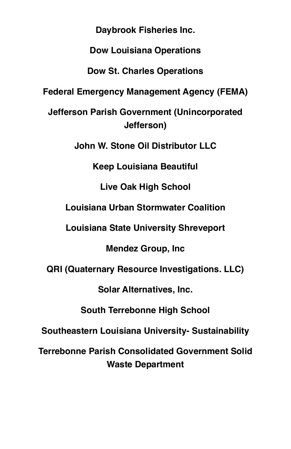**Daybrook Fisheries Inc.** 

**Dow Louisiana Operations**

**Dow St. Charles Operations**

**Federal Emergency Management Agency (FEMA)**

**Jefferson Parish Government (Unincorporated Jefferson)**

**John W. Stone Oil Distributor LLC**

**Keep Louisiana Beautiful**

**Live Oak High School**

**Louisiana Urban Stormwater Coalition**

**Louisiana State University Shreveport**

**Mendez Group, Inc**

**QRI (Quaternary Resource Investigations. LLC)**

**Solar Alternatives, Inc.**

**South Terrebonne High School** 

**Southeastern Louisiana University- Sustainability**

**Terrebonne Parish Consolidated Government Solid Waste Department**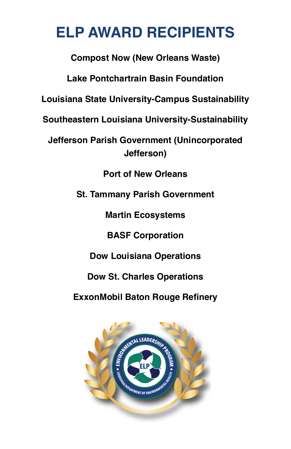# **ELP AWARD RECIPIENTS**

**Compost Now (New Orleans Waste)**

**Lake Pontchartrain Basin Foundation**

**Louisiana State University-Campus Sustainability**

**Southeastern Louisiana University-Sustainability**

**Jefferson Parish Government (Unincorporated Jefferson)**

**Port of New Orleans**

**St. Tammany Parish Government**

**Martin Ecosystems**

**BASF Corporation**

**Dow Louisiana Operations**

**Dow St. Charles Operations**

**ExxonMobil Baton Rouge Refinery**

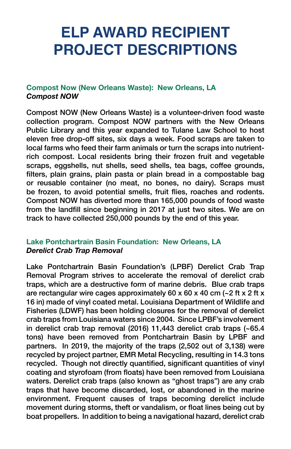# **ELP AWARD RECIPIENT PROJECT DESCRIPTIONS**

#### **Compost Now (New Orleans Waste): New Orleans, LA** *Compost NOW*

Compost NOW (New Orleans Waste) is a volunteer-driven food waste collection program. Compost NOW partners with the New Orleans Public Library and this year expanded to Tulane Law School to host eleven free drop-off sites, six days a week. Food scraps are taken to local farms who feed their farm animals or turn the scraps into nutrientrich compost. Local residents bring their frozen fruit and vegetable scraps, eggshells, nut shells, seed shells, tea bags, coffee grounds, filters, plain grains, plain pasta or plain bread in a compostable bag or reusable container (no meat, no bones, no dairy). Scraps must be frozen, to avoid potential smells, fruit flies, roaches and rodents. Compost NOW has diverted more than 165,000 pounds of food waste from the landfill since beginning in 2017 at just two sites. We are on track to have collected 250,000 pounds by the end of this year.

#### **Lake Pontchartrain Basin Foundation: New Orleans, LA** *Derelict Crab Trap Removal*

Lake Pontchartrain Basin Foundation's (LPBF) Derelict Crab Trap Removal Program strives to accelerate the removal of derelict crab traps, which are a destructive form of marine debris. Blue crab traps are rectangular wire cages approximately 60 x 60 x 40 cm  $\left(-2 \text{ ft x 2 ft x}\right)$ 16 in) made of vinyl coated metal. Louisiana Department of Wildlife and Fisheries (LDWF) has been holding closures for the removal of derelict crab traps from Louisiana waters since 2004. Since LPBF's involvement in derelict crab trap removal (2016) 11,443 derelict crab traps (~65.4 tons) have been removed from Pontchartrain Basin by LPBF and partners. In 2019, the majority of the traps (2,502 out of 3,138) were recycled by project partner, EMR Metal Recycling, resulting in 14.3 tons recycled. Though not directly quantified, significant quantities of vinyl coating and styrofoam (from floats) have been removed from Louisiana waters. Derelict crab traps (also known as "ghost traps") are any crab traps that have become discarded, lost, or abandoned in the marine environment. Frequent causes of traps becoming derelict include movement during storms, theft or vandalism, or float lines being cut by boat propellers. In addition to being a navigational hazard, derelict crab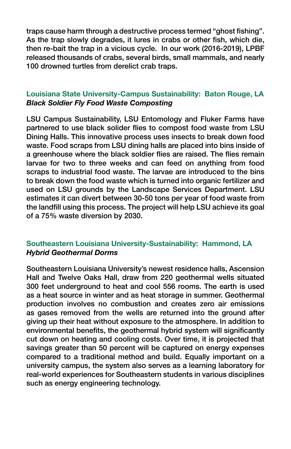traps cause harm through a destructive process termed "ghost fishing". As the trap slowly degrades, it lures in crabs or other fish, which die, then re-bait the trap in a vicious cycle. In our work (2016-2019), LPBF released thousands of crabs, several birds, small mammals, and nearly 100 drowned turtles from derelict crab traps.

#### **Louisiana State University-Campus Sustainability: Baton Rouge, LA** *Black Soldier Fly Food Waste Composting*

LSU Campus Sustainability, LSU Entomology and Fluker Farms have partnered to use black solider flies to compost food waste from LSU Dining Halls. This innovative process uses insects to break down food waste. Food scraps from LSU dining halls are placed into bins inside of a greenhouse where the black soldier flies are raised. The flies remain larvae for two to three weeks and can feed on anything from food scraps to industrial food waste. The larvae are introduced to the bins to break down the food waste which is turned into organic fertilizer and used on LSU grounds by the Landscape Services Department. LSU estimates it can divert between 30-50 tons per year of food waste from the landfill using this process. The project will help LSU achieve its goal of a 75% waste diversion by 2030.

#### **Southeastern Louisiana University-Sustainability: Hammond, LA** *Hybrid Geothermal Dorms*

Southeastern Louisiana University's newest residence halls, Ascension Hall and Twelve Oaks Hall, draw from 220 geothermal wells situated 300 feet underground to heat and cool 556 rooms. The earth is used as a heat source in winter and as heat storage in summer. Geothermal production involves no combustion and creates zero air emissions as gases removed from the wells are returned into the ground after giving up their heat without exposure to the atmosphere. In addition to environmental benefits, the geothermal hybrid system will significantly cut down on heating and cooling costs. Over time, it is projected that savings greater than 50 percent will be captured on energy expenses compared to a traditional method and build. Equally important on a university campus, the system also serves as a learning laboratory for real-world experiences for Southeastern students in various disciplines such as energy engineering technology.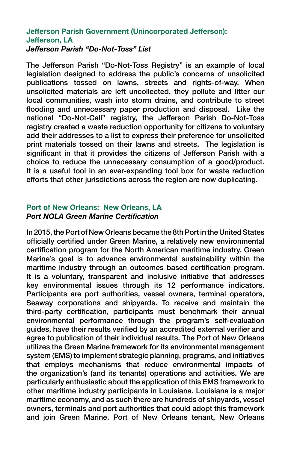#### **Jefferson Parish Government (Unincorporated Jefferson): Jefferson, LA** *Jefferson Parish "Do-Not-Toss" List*

The Jefferson Parish "Do-Not-Toss Registry" is an example of local legislation designed to address the public's concerns of unsolicited publications tossed on lawns, streets and rights-of-way. When unsolicited materials are left uncollected, they pollute and litter our local communities, wash into storm drains, and contribute to street flooding and unnecessary paper production and disposal. Like the national "Do-Not-Call" registry, the Jefferson Parish Do-Not-Toss registry created a waste reduction opportunity for citizens to voluntary add their addresses to a list to express their preference for unsolicited print materials tossed on their lawns and streets. The legislation is significant in that it provides the citizens of Jefferson Parish with a choice to reduce the unnecessary consumption of a good/product. It is a useful tool in an ever-expanding tool box for waste reduction efforts that other jurisdictions across the region are now duplicating.

#### **Port of New Orleans: New Orleans, LA**  *Port NOLA Green Marine Certification*

In 2015, the Port of New Orleans became the 8th Port in the United States officially certified under Green Marine, a relatively new environmental certification program for the North American maritime industry. Green Marine's goal is to advance environmental sustainability within the maritime industry through an outcomes based certification program. It is a voluntary, transparent and inclusive initiative that addresses key environmental issues through its 12 performance indicators. Participants are port authorities, vessel owners, terminal operators, Seaway corporations and shipyards. To receive and maintain the third-party certification, participants must benchmark their annual environmental performance through the program's self-evaluation guides, have their results verified by an accredited external verifier and agree to publication of their individual results. The Port of New Orleans utilizes the Green Marine framework for its environmental management system (EMS) to implement strategic planning, programs, and initiatives that employs mechanisms that reduce environmental impacts of the organization's (and its tenants) operations and activities. We are particularly enthusiastic about the application of this EMS framework to other maritime industry participants in Louisiana. Louisiana is a major maritime economy, and as such there are hundreds of shipyards, vessel owners, terminals and port authorities that could adopt this framework and join Green Marine. Port of New Orleans tenant, New Orleans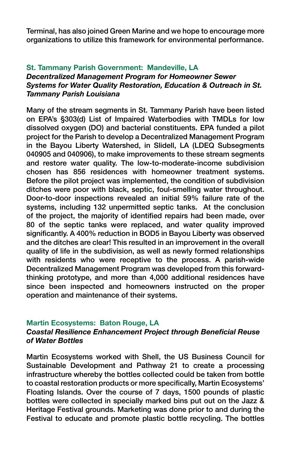Terminal, has also joined Green Marine and we hope to encourage more organizations to utilize this framework for environmental performance.

### **St. Tammany Parish Government: Mandeville, LA**

#### *Decentralized Management Program for Homeowner Sewer Systems for Water Quality Restoration, Education & Outreach in St. Tammany Parish Louisiana*

Many of the stream segments in St. Tammany Parish have been listed on EPA's §303(d) List of Impaired Waterbodies with TMDLs for low dissolved oxygen (DO) and bacterial constituents. EPA funded a pilot project for the Parish to develop a Decentralized Management Program in the Bayou Liberty Watershed, in Slidell, LA (LDEQ Subsegments 040905 and 040906), to make improvements to these stream segments and restore water quality. The low-to-moderate-income subdivision chosen has 856 residences with homeowner treatment systems. Before the pilot project was implemented, the condition of subdivision ditches were poor with black, septic, foul-smelling water throughout. Door-to-door inspections revealed an initial 59% failure rate of the systems, including 132 unpermitted septic tanks. At the conclusion of the project, the majority of identified repairs had been made, over 80 of the septic tanks were replaced, and water quality improved significantly. A 400% reduction in BOD5 in Bayou Liberty was observed and the ditches are clear! This resulted in an improvement in the overall quality of life in the subdivision, as well as newly formed relationships with residents who were receptive to the process. A parish-wide Decentralized Management Program was developed from this forwardthinking prototype, and more than 4,000 additional residences have since been inspected and homeowners instructed on the proper operation and maintenance of their systems.

#### **Martin Ecosystems: Baton Rouge, LA**

#### *Coastal Resilience Enhancement Project through Beneficial Reuse of Water Bottles*

Martin Ecosystems worked with Shell, the US Business Council for Sustainable Development and Pathway 21 to create a processing infrastructure whereby the bottles collected could be taken from bottle to coastal restoration products or more specifically, Martin Ecosystems' Floating Islands. Over the course of 7 days, 1500 pounds of plastic bottles were collected in specially marked bins put out on the Jazz & Heritage Festival grounds. Marketing was done prior to and during the Festival to educate and promote plastic bottle recycling. The bottles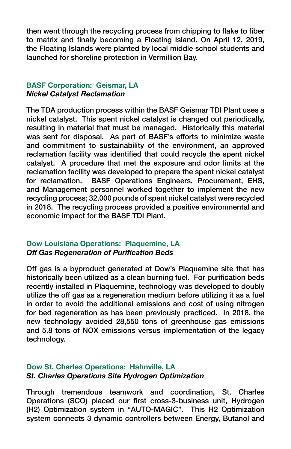then went through the recycling process from chipping to flake to fiber to matrix and finally becoming a Floating Island. On April 12, 2019, the Floating Islands were planted by local middle school students and launched for shoreline protection in Vermillion Bay.

#### **BASF Corporation: Geismar, LA** *Nickel Catalyst Reclamation*

The TDA production process within the BASF Geismar TDI Plant uses a nickel catalyst. This spent nickel catalyst is changed out periodically, resulting in material that must be managed. Historically this material was sent for disposal. As part of BASF's efforts to minimize waste and commitment to sustainability of the environment, an approved reclamation facility was identified that could recycle the spent nickel catalyst. A procedure that met the exposure and odor limits at the reclamation facility was developed to prepare the spent nickel catalyst for reclamation. BASF Operations Engineers, Procurement, EHS, and Management personnel worked together to implement the new recycling process; 32,000 pounds of spent nickel catalyst were recycled in 2018. The recycling process provided a positive environmental and economic impact for the BASF TDI Plant.

#### **Dow Louisiana Operations: Plaquemine, LA** *Off Gas Regeneration of Purification Beds*

Off gas is a byproduct generated at Dow's Plaquemine site that has historically been utilized as a clean burning fuel. For purification beds recently installed in Plaquemine, technology was developed to doubly utilize the off gas as a regeneration medium before utilizing it as a fuel in order to avoid the additional emissions and cost of using nitrogen for bed regeneration as has been previously practiced. In 2018, the new technology avoided 28,550 tons of greenhouse gas emissions and 5.8 tons of NOX emissions versus implementation of the legacy technology.

#### **Dow St. Charles Operations: Hahnville, LA** *St. Charles Operations Site Hydrogen Optimization*

Through tremendous teamwork and coordination, St. Charles Operations (SCO) placed our first cross-3-business unit, Hydrogen (H2) Optimization system in "AUTO-MAGIC". This H2 Optimization system connects 3 dynamic controllers between Energy, Butanol and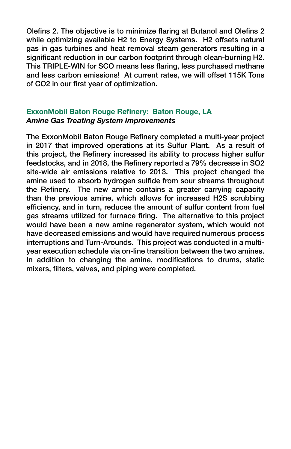Olefins 2. The objective is to minimize flaring at Butanol and Olefins 2 while optimizing available H2 to Energy Systems. H2 offsets natural gas in gas turbines and heat removal steam generators resulting in a significant reduction in our carbon footprint through clean-burning H2. This TRIPLE-WIN for SCO means less flaring, less purchased methane and less carbon emissions! At current rates, we will offset 115K Tons of CO2 in our first year of optimization.

#### **ExxonMobil Baton Rouge Refinery: Baton Rouge, LA** *Amine Gas Treating System Improvements*

The ExxonMobil Baton Rouge Refinery completed a multi-year project in 2017 that improved operations at its Sulfur Plant. As a result of this project, the Refinery increased its ability to process higher sulfur feedstocks, and in 2018, the Refinery reported a 79% decrease in SO2 site-wide air emissions relative to 2013. This project changed the amine used to absorb hydrogen sulfide from sour streams throughout the Refinery. The new amine contains a greater carrying capacity than the previous amine, which allows for increased H2S scrubbing efficiency, and in turn, reduces the amount of sulfur content from fuel gas streams utilized for furnace firing. The alternative to this project would have been a new amine regenerator system, which would not have decreased emissions and would have required numerous process interruptions and Turn-Arounds. This project was conducted in a multiyear execution schedule via on-line transition between the two amines. In addition to changing the amine, modifications to drums, static mixers, filters, valves, and piping were completed.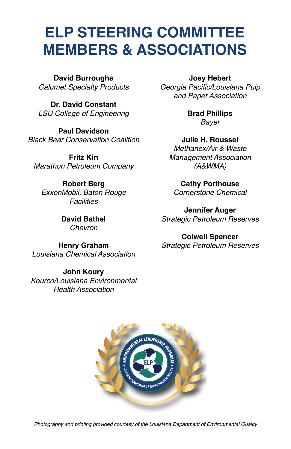### **ELP STEERING COMMITTEE MEMBERS & ASSOCIATIONS**

**David Burroughs** *Calumet Specialty Products*

**Dr. David Constant** *LSU College of Engineering*

**Paul Davidson**  *Black Bear Conservation Coalition*

**Fritz Kin** *Marathon Petroleum Company*

**Robert Berg** *ExxonMobil, Baton Rouge Facilities*

> **David Bathel** *Chevron*

**Henry Graham** *Louisiana Chemical Association*

**John Koury** *Kourco/Louisiana Environmental Health Association*

**Joey Hebert**

Georgia Pacific/Louisiana Pulp *and Paper Association*

> **Brad Phillips** *Bayer*

**Julie H. Roussel** *Methanex/Air & Waste Management Association (A&WMA)*

**Cathy Porthouse** *Cornerstone Chemical*

**Jennifer Auger** *Strategic Petroleum Reserves*

**Colwell Spencer** *Strategic Petroleum Reserves*